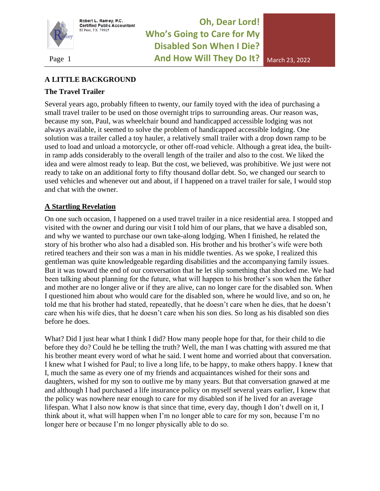

Robert L. Ramey, P.C.<br>Certified Public Accountant El Paso, TX 79925

**Oh, Dear Lord! Who's Going to Care for My Disabled Son When I Die?**  Page 1 **And How Will They Do It?** March 23, 2022

### **A LITTLE BACKGROUND**

#### **The Travel Trailer**

Several years ago, probably fifteen to twenty, our family toyed with the idea of purchasing a small travel trailer to be used on those overnight trips to surrounding areas. Our reason was, because my son, Paul, was wheelchair bound and handicapped accessible lodging was not always available, it seemed to solve the problem of handicapped accessible lodging. One solution was a trailer called a toy hauler, a relatively small trailer with a drop down ramp to be used to load and unload a motorcycle, or other off-road vehicle. Although a great idea, the builtin ramp adds considerably to the overall length of the trailer and also to the cost. We liked the idea and were almost ready to leap. But the cost, we believed, was prohibitive. We just were not ready to take on an additional forty to fifty thousand dollar debt. So, we changed our search to used vehicles and whenever out and about, if I happened on a travel trailer for sale, I would stop and chat with the owner.

### **A Startling Revelation**

On one such occasion, I happened on a used travel trailer in a nice residential area. I stopped and visited with the owner and during our visit I told him of our plans, that we have a disabled son, and why we wanted to purchase our own take-along lodging. When I finished, he related the story of his brother who also had a disabled son. His brother and his brother's wife were both retired teachers and their son was a man in his middle twenties. As we spoke, I realized this gentleman was quite knowledgeable regarding disabilities and the accompanying family issues. But it was toward the end of our conversation that he let slip something that shocked me. We had been talking about planning for the future, what will happen to his brother's son when the father and mother are no longer alive or if they are alive, can no longer care for the disabled son. When I questioned him about who would care for the disabled son, where he would live, and so on, he told me that his brother had stated, repeatedly, that he doesn't care when he dies, that he doesn't care when his wife dies, that he doesn't care when his son dies. So long as his disabled son dies before he does.

What? Did I just hear what I think I did? How many people hope for that, for their child to die before they do? Could he be telling the truth? Well, the man I was chatting with assured me that his brother meant every word of what he said. I went home and worried about that conversation. I knew what I wished for Paul; to live a long life, to be happy, to make others happy. I knew that I, much the same as every one of my friends and acquaintances wished for their sons and daughters, wished for my son to outlive me by many years. But that conversation gnawed at me and although I had purchased a life insurance policy on myself several years earlier, I knew that the policy was nowhere near enough to care for my disabled son if he lived for an average lifespan. What I also now know is that since that time, every day, though I don't dwell on it, I think about it, what will happen when I'm no longer able to care for my son, because I'm no longer here or because I'm no longer physically able to do so.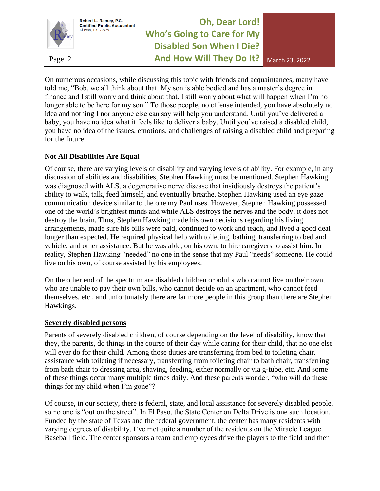

Robert L. Ramey, P.C.<br>Certified Public Accountant El Paso, TX 79925

# **Oh, Dear Lord! Who's Going to Care for My Disabled Son When I Die?**  Page 2 **And How Will They Do It?** March 23, 2022

On numerous occasions, while discussing this topic with friends and acquaintances, many have told me, "Bob, we all think about that. My son is able bodied and has a master's degree in finance and I still worry and think about that. I still worry about what will happen when I'm no longer able to be here for my son." To those people, no offense intended, you have absolutely no idea and nothing I nor anyone else can say will help you understand. Until you've delivered a baby, you have no idea what it feels like to deliver a baby. Until you've raised a disabled child, you have no idea of the issues, emotions, and challenges of raising a disabled child and preparing for the future.

### **Not All Disabilities Are Equal**

Of course, there are varying levels of disability and varying levels of ability. For example, in any discussion of abilities and disabilities, Stephen Hawking must be mentioned. Stephen Hawking was diagnosed with ALS, a degenerative nerve disease that insidiously destroys the patient's ability to walk, talk, feed himself, and eventually breathe. Stephen Hawking used an eye gaze communication device similar to the one my Paul uses. However, Stephen Hawking possessed one of the world's brightest minds and while ALS destroys the nerves and the body, it does not destroy the brain. Thus, Stephen Hawking made his own decisions regarding his living arrangements, made sure his bills were paid, continued to work and teach, and lived a good deal longer than expected. He required physical help with toileting, bathing, transferring to bed and vehicle, and other assistance. But he was able, on his own, to hire caregivers to assist him. In reality, Stephen Hawking "needed" no one in the sense that my Paul "needs" someone. He could live on his own, of course assisted by his employees.

On the other end of the spectrum are disabled children or adults who cannot live on their own, who are unable to pay their own bills, who cannot decide on an apartment, who cannot feed themselves, etc., and unfortunately there are far more people in this group than there are Stephen Hawkings.

#### **Severely disabled persons**

Parents of severely disabled children, of course depending on the level of disability, know that they, the parents, do things in the course of their day while caring for their child, that no one else will ever do for their child. Among those duties are transferring from bed to toileting chair, assistance with toileting if necessary, transferring from toileting chair to bath chair, transferring from bath chair to dressing area, shaving, feeding, either normally or via g-tube, etc. And some of these things occur many multiple times daily. And these parents wonder, "who will do these things for my child when I'm gone"?

Of course, in our society, there is federal, state, and local assistance for severely disabled people, so no one is "out on the street". In El Paso, the State Center on Delta Drive is one such location. Funded by the state of Texas and the federal government, the center has many residents with varying degrees of disability. I've met quite a number of the residents on the Miracle League Baseball field. The center sponsors a team and employees drive the players to the field and then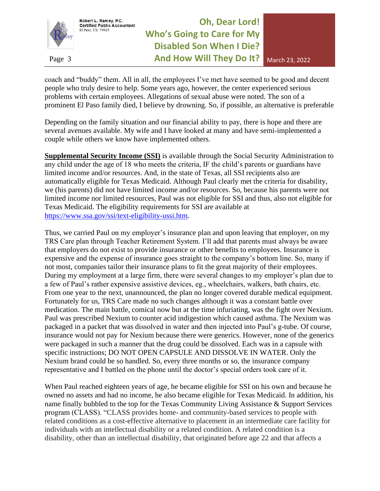

# **Oh, Dear Lord! Who's Going to Care for My Disabled Son When I Die?**  Page 3 **And How Will They Do It?** March 23, 2022

coach and "buddy" them. All in all, the employees I've met have seemed to be good and decent people who truly desire to help. Some years ago, however, the center experienced serious problems with certain employees. Allegations of sexual abuse were noted. The son of a prominent El Paso family died, I believe by drowning. So, if possible, an alternative is preferable

Depending on the family situation and our financial ability to pay, there is hope and there are several avenues available. My wife and I have looked at many and have semi-implemented a couple while others we know have implemented others.

**Supplemental Security Income (SSI)** is available through the Social Security Administration to any child under the age of 18 who meets the criteria, IF the child's parents or guardians have limited income and/or resources. And, in the state of Texas, all SSI recipients also are automatically eligible for Texas Medicaid. Although Paul clearly met the criteria for disability, we (his parents) did not have limited income and/or resources. So, because his parents were not limited income nor limited resources, Paul was not eligible for SSI and thus, also not eligible for Texas Medicaid. The eligibility requirements for SSI are available at [https://www.ssa.gov/ssi/text-eligibility-ussi.htm.](https://www.ssa.gov/ssi/text-eligibility-ussi.htm)

Thus, we carried Paul on my employer's insurance plan and upon leaving that employer, on my TRS Care plan through Teacher Retirement System. I'll add that parents must always be aware that employers do not exist to provide insurance or other benefits to employees. Insurance is expensive and the expense of insurance goes straight to the company's bottom line. So, many if not most, companies tailor their insurance plans to fit the great majority of their employees. During my employment at a large firm, there were several changes to my employer's plan due to a few of Paul's rather expensive assistive devices, eg., wheelchairs, walkers, bath chairs, etc. From one year to the next, unannounced, the plan no longer covered durable medical equipment. Fortunately for us, TRS Care made no such changes although it was a constant battle over medication. The main battle, comical now but at the time infuriating, was the fight over Nexium. Paul was prescribed Nexium to counter acid indigestion which caused asthma. The Nexium was packaged in a packet that was dissolved in water and then injected into Paul's g-tube. Of course, insurance would not pay for Nexium because there were generics. However, none of the generics were packaged in such a manner that the drug could be dissolved. Each was in a capsule with specific instructions; DO NOT OPEN CAPSULE AND DISSOLVE IN WATER. Only the Nexium brand could be so handled. So, every three months or so, the insurance company representative and I battled on the phone until the doctor's special orders took care of it.

When Paul reached eighteen years of age, he became eligible for SSI on his own and because he owned no assets and had no income, he also became eligible for Texas Medicaid. In addition, his name finally bubbled to the top for the Texas Community Living Assistance & Support Services program (CLASS). "CLASS provides home- and community-based services to people with related conditions as a cost-effective alternative to placement in an intermediate care facility for individuals with an intellectual disability or a related condition. A related condition is a disability, other than an intellectual disability, that originated before age 22 and that affects a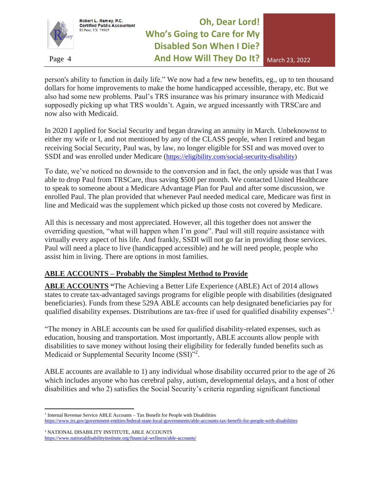

# **Oh, Dear Lord! Who's Going to Care for My Disabled Son When I Die?**  Page 4 **And How Will They Do It?** March 23, 2022

person's ability to function in daily life." We now had a few new benefits, eg., up to ten thousand dollars for home improvements to make the home handicapped accessible, therapy, etc. But we also had some new problems. Paul's TRS insurance was his primary insurance with Medicaid supposedly picking up what TRS wouldn't. Again, we argued incessantly with TRSCare and now also with Medicaid.

In 2020 I applied for Social Security and began drawing an annuity in March. Unbeknownst to either my wife or I, and not mentioned by any of the CLASS people, when I retired and began receiving Social Security, Paul was, by law, no longer eligible for SSI and was moved over to SSDI and was enrolled under Medicare ([https://eligibility.com/social-security-disability\)](https://eligibility.com/social-security-disability)

To date, we've noticed no downside to the conversion and in fact, the only upside was that I was able to drop Paul from TRSCare, thus saving \$500 per month. We contacted United Healthcare to speak to someone about a Medicare Advantage Plan for Paul and after some discussion, we enrolled Paul. The plan provided that whenever Paul needed medical care, Medicare was first in line and Medicaid was the supplement which picked up those costs not covered by Medicare.

All this is necessary and most appreciated. However, all this together does not answer the overriding question, "what will happen when I'm gone". Paul will still require assistance with virtually every aspect of his life. And frankly, SSDI will not go far in providing those services. Paul will need a place to live (handicapped accessible) and he will need people, people who assist him in living. There are options in most families.

### **ABLE ACCOUNTS – Probably the Simplest Method to Provide**

**ABLE ACCOUNTS "**The Achieving a Better Life Experience (ABLE) Act of 2014 allows states to create tax-advantaged savings programs for eligible people with disabilities (designated beneficiaries). Funds from these 529A ABLE accounts can help designated beneficiaries pay for qualified disability expenses. Distributions are tax-free if used for qualified disability expenses".

"The money in ABLE accounts can be used for qualified disability-related expenses, such as education, housing and transportation. Most importantly, ABLE accounts allow people with disabilities to save money without losing their eligibility for federally funded benefits such as Medicaid or Supplemental Security Income (SSI)"<sup>2</sup>.

ABLE accounts are available to 1) any individual whose disability occurred prior to the age of 26 which includes anyone who has cerebral palsy, autism, developmental delays, and a host of other disabilities and who 2) satisfies the Social Security's criteria regarding significant functional

<sup>&</sup>lt;sup>1</sup> Internal Revenue Service ABLE Accounts - Tax Benefit for People with Disabilities <https://www.irs.gov/government-entities/federal-state-local-governments/able-accounts-tax-benefit-for-people-with-disabilities>

<sup>2</sup> NATIONAL DISABILITY INSTITUTE, ABLE ACCOUNTS <https://www.nationaldisabilityinstitute.org/financial-wellness/able-accounts/>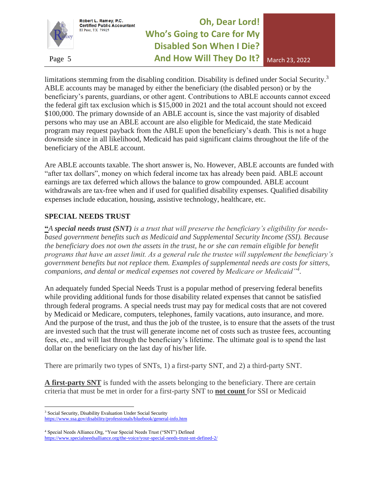

**Oh, Dear Lord! Who's Going to Care for My Disabled Son When I Die?**  Page 5 **And How Will They Do It?** March 23, 2022

limitations stemming from the disabling condition. Disability is defined under Social Security.<sup>3</sup> ABLE accounts may be managed by either the beneficiary (the disabled person) or by the beneficiary's parents, guardians, or other agent. Contributions to ABLE accounts cannot exceed the federal gift tax exclusion which is \$15,000 in 2021 and the total account should not exceed \$100,000. The primary downside of an ABLE account is, since the vast majority of disabled persons who may use an ABLE account are also eligible for Medicaid, the state Medicaid program may request payback from the ABLE upon the beneficiary's death. This is not a huge downside since in all likelihood, Medicaid has paid significant claims throughout the life of the beneficiary of the ABLE account.

Are ABLE accounts taxable. The short answer is, No. However, ABLE accounts are funded with "after tax dollars", money on which federal income tax has already been paid. ABLE account earnings are tax deferred which allows the balance to grow compounded. ABLE account withdrawals are tax-free when and if used for qualified disability expenses. Qualified disability expenses include education, housing, assistive technology, healthcare, etc.

### **SPECIAL NEEDS TRUST**

**"***A special needs trust (SNT) is a trust that will preserve the beneficiary's eligibility for needsbased government benefits such as Medicaid and Supplemental Security Income (SSI). Because the beneficiary does not own the assets in the trust, he or she can remain eligible for benefit programs that have an asset limit. As a general rule the trustee will supplement the beneficiary's government benefits but not replace them. Examples of supplemental needs are costs for sitters, companions, and dental or medical expenses not covered by Medicare or Medicaid"<sup>4</sup> .*

An adequately funded Special Needs Trust is a popular method of preserving federal benefits while providing additional funds for those disability related expenses that cannot be satisfied through federal programs. A special needs trust may pay for medical costs that are not covered by Medicaid or Medicare, computers, telephones, family vacations, auto insurance, and more. And the purpose of the trust, and thus the job of the trustee, is to ensure that the assets of the trust are invested such that the trust will generate income net of costs such as trustee fees, accounting fees, etc., and will last through the beneficiary's lifetime. The ultimate goal is to spend the last dollar on the beneficiary on the last day of his/her life.

There are primarily two types of SNTs, 1) a first-party SNT, and 2) a third-party SNT.

**A first-party SNT** is funded with the assets belonging to the beneficiary. There are certain criteria that must be met in order for a first-party SNT to **not count** for SSI or Medicaid

<sup>&</sup>lt;sup>3</sup> Social Security, Disability Evaluation Under Social Security

<https://www.ssa.gov/disability/professionals/bluebook/general-info.htm>

<sup>4</sup> Special Needs Alliance.Org, "Your Special Needs Trust ("SNT") Defined

<https://www.specialneedsalliance.org/the-voice/your-special-needs-trust-snt-defined-2/>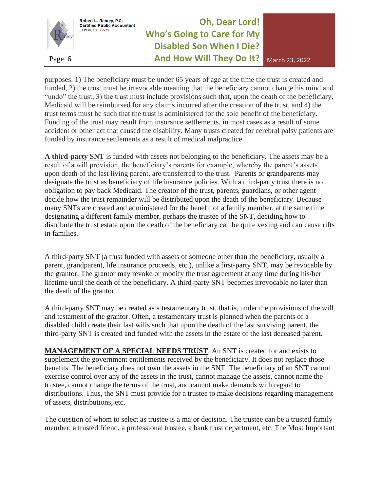

Robert L. Ramey, P.C.<br>Certified Public Accountant

El Paso, TX 79925

# **Oh, Dear Lord! Who's Going to Care for My Disabled Son When I Die?**  Page 6 **And How Will They Do It?** March 23, 2022

purposes. 1) The beneficiary must be under 65 years of age at the time the trust is created and funded, 2) the trust must be irrevocable meaning that the beneficiary cannot change his mind and "undo" the trust, 3) the trust must include provisions such that, upon the death of the beneficiary, Medicaid will be reimbursed for any claims incurred after the creation of the trust, and 4) the trust terms must be such that the trust is administered for the sole benefit of the beneficiary. Funding of the trust may result from insurance settlements, in most cases as a result of some accident or other act that caused the disability. Many trusts created for cerebral palsy patients are funded by insurance settlements as a result of medical malpractice.

**A third-party SNT** is funded with assets not belonging to the beneficiary. The assets may be a result of a will provision, the beneficiary's parents for example, whereby the parent's assets, upon death of the last living parent, are transferred to the trust. Parents or grandparents may designate the trust as beneficiary of life insurance policies. With a third-party trust there is no obligation to pay back Medicaid. The creator of the trust, parents, guardians, or other agent decide how the trust remainder will be distributed upon the death of the beneficiary. Because many SNTs are created and administered for the benefit of a family member, at the same time designating a different family member, perhaps the trustee of the SNT, deciding how to distribute the trust estate upon the death of the beneficiary can be quite vexing and can cause rifts in families.

A third-party SNT (a trust funded with assets of someone other than the beneficiary, usually a parent, grandparent, life insurance proceeds, etc.), unlike a first-party SNT, may be revocable by the grantor. The grantor may revoke or modify the trust agreement at any time during his/her lifetime until the death of the beneficiary. A third-party SNT becomes irrevocable no later than the death of the grantor.

A third-party SNT may be created as a testamentary trust, that is, under the provisions of the will and testament of the grantor. Often, a testamentary trust is planned when the parents of a disabled child create their last wills such that upon the death of the last surviving parent, the third-party SNT is created and funded with the assets in the estate of the last deceased parent.

**MANAGEMENT OF A SPECIAL NEEDS TRUST**. An SNT is created for and exists to supplement the government entitlements received by the beneficiary. It does not replace those benefits. The beneficiary does not own the assets in the SNT. The beneficiary of an SNT cannot exercise control over any of the assets in the trust, cannot manage the assets, cannot name the trustee, cannot change the terms of the trust, and cannot make demands with regard to distributions. Thus, the SNT must provide for a trustee to make decisions regarding management of assets, distributions, etc.

The question of whom to select as trustee is a major decision. The trustee can be a trusted family member, a trusted friend, a professional trustee, a bank trust department, etc. The Most Important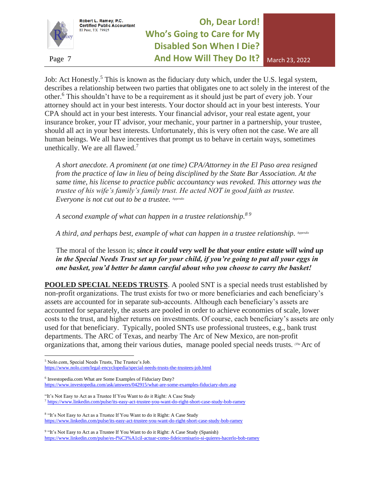

Robert L. Ramey, P.C.<br>Certified Public Accountant

El Paso, TX 79925

# **Oh, Dear Lord! Who's Going to Care for My Disabled Son When I Die?**  Page 7 **And How Will They Do It?** March 23, 2022

Job: Act Honestly.<sup>5</sup> This is known as the fiduciary duty which, under the U.S. legal system, describes a relationship between two parties that obligates one to act solely in the interest of the other.<sup>6</sup> This shouldn't have to be a requirement as it should just be part of every job. Your attorney should act in your best interests. Your doctor should act in your best interests. Your CPA should act in your best interests. Your financial advisor, your real estate agent, your insurance broker, your IT advisor, your mechanic, your partner in a partnership, your trustee, should all act in your best interests. Unfortunately, this is very often not the case. We are all human beings. We all have incentives that prompt us to behave in certain ways, sometimes unethically. We are all flawed. $7$ 

*A short anecdote. A prominent (at one time) CPA/Attorney in the El Paso area resigned from the practice of law in lieu of being disciplined by the State Bar Association. At the same time, his license to practice public accountancy was revoked. This attorney was the trustee of his wife's family's family trust. He acted NOT in good faith as trustee. Everyone is not cut out to be a trustee. Appendix*

*A second example of what can happen in a trustee relationship.<sup>8</sup> <sup>9</sup>*

*A third, and perhaps best, example of what can happen in a trustee relationship. Appendix*

The moral of the lesson is; *since it could very well be that your entire estate will wind up in the Special Needs Trust set up for your child, if you're going to put all your eggs in one basket, you'd better be damn careful about who you choose to carry the basket!*

**POOLED SPECIAL NEEDS TRUSTS.** A pooled SNT is a special needs trust established by non-profit organizations. The trust exists for two or more beneficiaries and each beneficiary's assets are accounted for in separate sub-accounts. Although each beneficiary's assets are accounted for separately, the assets are pooled in order to achieve economies of scale, lower costs to the trust, and higher returns on investments. Of course, each beneficiary's assets are only used for that beneficiary. Typically, pooled SNTs use professional trustees, e.g., bank trust departments. The ARC of Texas, and nearby The Arc of New Mexico, are non-profit organizations that, among their various duties, manage pooled special needs trusts. *(The* Arc of

6 Investopedia.com What are Some Examples of Fiduciary Duty? <https://www.investopedia.com/ask/answers/042915/what-are-some-examples-fiduciary-duty.asp>

"It's Not Easy to Act as a Trustee If You Want to do it Right: A Case Study <sup>7</sup> <https://www.linkedin.com/pulse/its-easy-act-trustee-you-want-do-right-short-case-study-bob-ramey>

<sup>8</sup> "It's Not Easy to Act as a Trustee If You Want to do it Right: A Case Study <https://www.linkedin.com/pulse/its-easy-act-trustee-you-want-do-right-short-case-study-bob-ramey>

<sup>9</sup> "It's Not Easy to Act as a Trustee If You Want to do it Right: A Case Study (Spanish) <https://www.linkedin.com/pulse/es-f%C3%A1cil-actuar-como-fideicomisario-si-quieres-hacerlo-bob-ramey>

<sup>5</sup> Nolo.com, Special Needs Trusts, The Trustee's Job. <https://www.nolo.com/legal-encyclopedia/special-needs-trusts-the-trustees-job.html>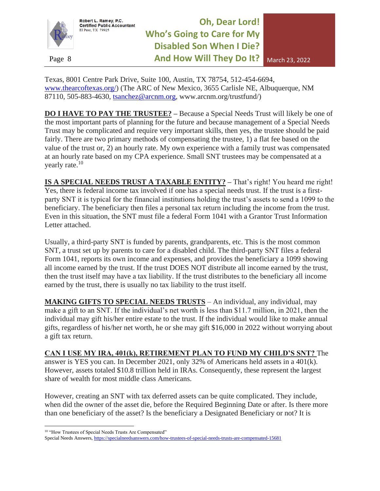

El Paso, TX 79925



Texas, 8001 Centre Park Drive, Suite 100, Austin, TX 78754, 512-454-6694, [www.thearcoftexas.org/\)](http://www.thearcoftexas.org/) (The ARC of New Mexico, 3655 Carlisle NE, Albuquerque, NM 87110, 505-883-4630, [tsanchez@arcnm.org,](mailto:tsanchez@arcnm.org) www.arcnm.org/trustfund/)

**DO I HAVE TO PAY THE TRUSTEE? –** Because a Special Needs Trust will likely be one of the most important parts of planning for the future and because management of a Special Needs Trust may be complicated and require very important skills, then yes, the trustee should be paid fairly. There are two primary methods of compensating the trustee, 1) a flat fee based on the value of the trust or, 2) an hourly rate. My own experience with a family trust was compensated at an hourly rate based on my CPA experience. Small SNT trustees may be compensated at a yearly rate.<sup>10</sup>

**IS A SPECIAL NEEDS TRUST A TAXABLE ENTITY? –** That's right! You heard me right! Yes, there is federal income tax involved if one has a special needs trust. If the trust is a firstparty SNT it is typical for the financial institutions holding the trust's assets to send a 1099 to the beneficiary. The beneficiary then files a personal tax return including the income from the trust. Even in this situation, the SNT must file a federal Form 1041 with a Grantor Trust Information Letter attached.

Usually, a third-party SNT is funded by parents, grandparents, etc. This is the most common SNT, a trust set up by parents to care for a disabled child. The third-party SNT files a federal Form 1041, reports its own income and expenses, and provides the beneficiary a 1099 showing all income earned by the trust. If the trust DOES NOT distribute all income earned by the trust, then the trust itself may have a tax liability. If the trust distributes to the beneficiary all income earned by the trust, there is usually no tax liability to the trust itself.

**MAKING GIFTS TO SPECIAL NEEDS TRUSTS** – An individual, any individual, may make a gift to an SNT. If the individual's net worth is less than \$11.7 million, in 2021, then the individual may gift his/her entire estate to the trust. If the individual would like to make annual gifts, regardless of his/her net worth, he or she may gift \$16,000 in 2022 without worrying about a gift tax return.

#### **CAN I USE MY IRA, 401(k), RETIREMENT PLAN TO FUND MY CHILD'S SNT?** The

answer is YES you can. In December 2021, only 32% of Americans held assets in a 401(k). However, assets totaled \$10.8 trillion held in IRAs. Consequently, these represent the largest share of wealth for most middle class Americans.

However, creating an SNT with tax deferred assets can be quite complicated. They include, when did the owner of the asset die, before the Required Beginning Date or after. Is there more than one beneficiary of the asset? Is the beneficiary a Designated Beneficiary or not? It is

<sup>&</sup>lt;sup>10</sup> "How Trustees of Special Needs Trusts Are Compensated"

Special Needs Answers[, https://specialneedsanswers.com/how-trustees-of-special-needs-trusts-are-compensated-15681](https://specialneedsanswers.com/how-trustees-of-special-needs-trusts-are-compensated-15681)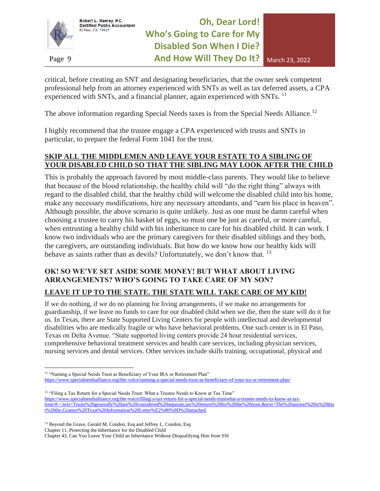

critical, before creating an SNT and designating beneficiaries, that the owner seek competent professional help from an attorney experienced with SNTs as well as tax deferred assets, a CPA experienced with SNTs, and a financial planner, again experienced with SNTs.<sup>11</sup>

The above information regarding Special Needs taxes is from the Special Needs Alliance.<sup>12</sup>

I highly recommend that the trustee engage a CPA experienced with trusts and SNTs in particular, to prepare the federal Form 1041 for the trust.

### **SKIP ALL THE MIDDLEMEN AND LEAVE YOUR ESTATE TO A SIBLING OF YOUR DISABLED CHILD SO THAT THE SIBLING MAY LOOK AFTER THE CHILD**

This is probably the approach favored by most middle-class parents. They would like to believe that because of the blood relationship, the healthy child will "do the right thing" always with regard to the disabled child, that the healthy child will welcome the disabled child into his home, make any necessary modifications, hire any necessary attendants, and "earn his place in heaven". Although possible, the above scenario is quite unlikely. Just as one must be damn careful when choosing a trustee to carry his basket of eggs, so must one be just as careful, or more careful, when entrusting a healthy child with his inheritance to care for his disabled child. It can work. I know two individuals who are the primary caregivers for their disabled siblings and they both, the caregivers, are outstanding individuals. But how do we know how our healthy kids will behave as saints rather than as devils? Unfortunately, we don't know that. <sup>13</sup>

## **OK! SO WE'VE SET ASIDE SOME MONEY! BUT WHAT ABOUT LIVING ARRANGEMENTS? WHO'S GOING TO TAKE CARE OF MY SON?**

### **LEAVE IT UP TO THE STATE. THE STATE WILL TAKE CARE OF MY KID!**

If we do nothing, if we do no planning for living arrangements, if we make no arrangements for guardianship, if we leave no funds to care for our disabled child when we die, then the state will do it for us. In Texas, there are State Supported Living Centers for people with intellectual and developmental disabilities who are medically fragile or who have behavioral problems. One such center is in El Paso, Texas on Delta Avenue. "State supported living centers provide 24 hour residential services, comprehensive behavioral treatment services and health care services, including physician services, nursing services and dental services. Other services include skills training, occupational, physical and

<sup>12</sup> "Filing a Tax Return for a Special Needs Trust: What a Trustee Needs to Know at Tax Time" [https://www.specialneedsalliance.org/the-voice/filing-a-tax-return-for-a-special-needs-trustwhat-a-trustee-needs-to-know-at-tax](https://www.specialneedsalliance.org/the-voice/filing-a-tax-return-for-a-special-needs-trustwhat-a-trustee-needs-to-know-at-tax-time/#:~:text=Trusts%20generally%20are%20considered%20separate,tax%20return%20for%20the%20trust.&text=The%20answer%20is%20that%20the,Grantor%20Trust%20Information%20Letter%E2%80%9D%20attached)[time/#:~:text=Trusts%20generally%20are%20considered%20separate,tax%20return%20for%20the%20trust.&text=The%20answer%20is%20tha](https://www.specialneedsalliance.org/the-voice/filing-a-tax-return-for-a-special-needs-trustwhat-a-trustee-needs-to-know-at-tax-time/#:~:text=Trusts%20generally%20are%20considered%20separate,tax%20return%20for%20the%20trust.&text=The%20answer%20is%20that%20the,Grantor%20Trust%20Information%20Letter%E2%80%9D%20attached) [t%20the,Grantor%20Trust%20Information%20Letter%E2%80%9D%20attached.](https://www.specialneedsalliance.org/the-voice/filing-a-tax-return-for-a-special-needs-trustwhat-a-trustee-needs-to-know-at-tax-time/#:~:text=Trusts%20generally%20are%20considered%20separate,tax%20return%20for%20the%20trust.&text=The%20answer%20is%20that%20the,Grantor%20Trust%20Information%20Letter%E2%80%9D%20attached)

Chapter 11, Protecting the Inheritance for the Disabled Child

<sup>&</sup>lt;sup>11</sup> "Naming a Special Needs Trust as Beneficiary of Your IRA or Retirement Plan" <https://www.specialneedsalliance.org/the-voice/naming-a-special-needs-trust-as-beneficiary-of-your-ira-or-retirement-plan/>

<sup>&</sup>lt;sup>13</sup> Beyond the Grave, Gerald M. Condon, Esq and Jeffrey L. Condon, Esq

Chapter 43, Can You Leave Your Child an Inheritance Without Disqualifying Him from SSI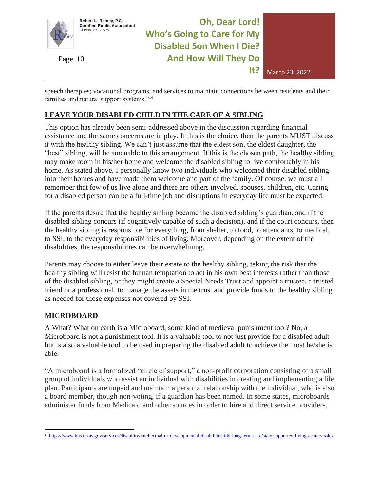

speech therapies; vocational programs; and services to maintain connections between residents and their families and natural support systems."<sup>14</sup>

### **LEAVE YOUR DISABLED CHILD IN THE CARE OF A SIBLING**

This option has already been semi-addressed above in the discussion regarding financial assistance and the same concerns are in play. If this is the choice, then the parents MUST discuss it with the healthy sibling. We can't just assume that the eldest son, the eldest daughter, the "best" sibling, will be amenable to this arrangement. If this is the chosen path, the healthy sibling may make room in his/her home and welcome the disabled sibling to live comfortably in his home. As stated above, I personally know two individuals who welcomed their disabled sibling into their homes and have made them welcome and part of the family. Of course, we must all remember that few of us live alone and there are others involved, spouses, children, etc. Caring for a disabled person can be a full-time job and disruptions in everyday life must be expected.

If the parents desire that the healthy sibling become the disabled sibling's guardian, and if the disabled sibling concurs (if cognitively capable of such a decision), and if the court concurs, then the healthy sibling is responsible for everything, from shelter, to food, to attendants, to medical, to SSI, to the everyday responsibilities of living. Moreover, depending on the extent of the disabilities, the responsibilities can be overwhelming.

Parents may choose to either leave their estate to the healthy sibling, taking the risk that the healthy sibling will resist the human temptation to act in his own best interests rather than those of the disabled sibling, or they might create a Special Needs Trust and appoint a trustee, a trusted friend or a professional, to manage the assets in the trust and provide funds to the healthy sibling as needed for those expenses not covered by SSI.

#### **MICROBOARD**

A What? What on earth is a Microboard, some kind of medieval punishment tool? No, a Microboard is not a punishment tool. It is a valuable tool to not just provide for a disabled adult but is also a valuable tool to be used in preparing the disabled adult to achieve the most he/she is able.

"A microboard is a formalized "circle of support," a non-profit corporation consisting of a small group of individuals who assist an individual with disabilities in creating and implementing a life plan. Participants are unpaid and maintain a personal relationship with the individual, who is also a board member, though non-voting, if a guardian has been named. In some states, microboards administer funds from Medicaid and other sources in order to hire and direct service providers.

<sup>14</sup> <https://www.hhs.texas.gov/services/disability/intellectual-or-developmental-disabilities-idd-long-term-care/state-supported-living-centers-sslcs>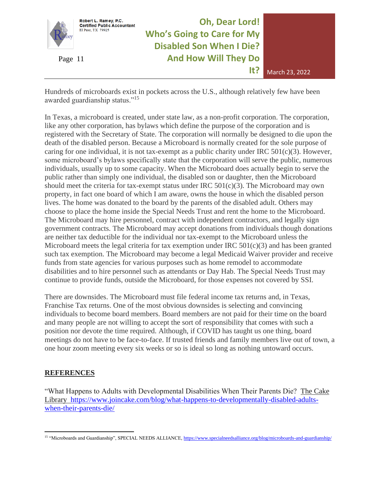

**Oh, Dear Lord! Who's Going to Care for My Disabled Son When I Die?**  Page 11 **And How Will They Do** 



Hundreds of microboards exist in pockets across the U.S., although relatively few have been awarded guardianship status."<sup>15</sup>

In Texas, a microboard is created, under state law, as a non-profit corporation. The corporation, like any other corporation, has bylaws which define the purpose of the corporation and is registered with the Secretary of State. The corporation will normally be designed to die upon the death of the disabled person. Because a Microboard is normally created for the sole purpose of caring for one individual, it is not tax-exempt as a public charity under IRC  $501(c)(3)$ . However, some microboard's bylaws specifically state that the corporation will serve the public, numerous individuals, usually up to some capacity. When the Microboard does actually begin to serve the public rather than simply one individual, the disabled son or daughter, then the Microboard should meet the criteria for tax-exempt status under IRC  $501(c)(3)$ . The Microboard may own property, in fact one board of which I am aware, owns the house in which the disabled person lives. The home was donated to the board by the parents of the disabled adult. Others may choose to place the home inside the Special Needs Trust and rent the home to the Microboard. The Microboard may hire personnel, contract with independent contractors, and legally sign government contracts. The Microboard may accept donations from individuals though donations are neither tax deductible for the individual nor tax-exempt to the Microboard unless the Microboard meets the legal criteria for tax exemption under IRC 501(c)(3) and has been granted such tax exemption. The Microboard may become a legal Medicaid Waiver provider and receive funds from state agencies for various purposes such as home remodel to accommodate disabilities and to hire personnel such as attendants or Day Hab. The Special Needs Trust may continue to provide funds, outside the Microboard, for those expenses not covered by SSI.

There are downsides. The Microboard must file federal income tax returns and, in Texas, Franchise Tax returns. One of the most obvious downsides is selecting and convincing individuals to become board members. Board members are not paid for their time on the board and many people are not willing to accept the sort of responsibility that comes with such a position nor devote the time required. Although, if COVID has taught us one thing, board meetings do not have to be face-to-face. If trusted friends and family members live out of town, a one hour zoom meeting every six weeks or so is ideal so long as nothing untoward occurs.

### **REFERENCES**

"What Happens to Adults with Developmental Disabilities When Their Parents Die? The Cake Library [https://www.joincake.com/blog/what-happens-to-developmentally-disabled-adults](https://www.joincake.com/blog/what-happens-to-developmentally-disabled-adults-when-their-parents-die/)[when-their-parents-die/](https://www.joincake.com/blog/what-happens-to-developmentally-disabled-adults-when-their-parents-die/)

<sup>&</sup>lt;sup>15</sup> "Microboards and Guardianship", SPECIAL NEEDS ALLIANCE,<https://www.specialneedsalliance.org/blog/microboards-and-guardianship/>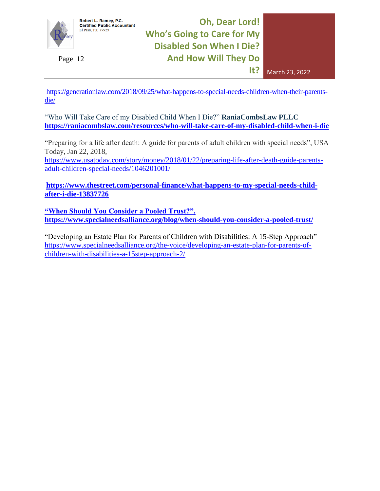

Robert L. Ramey, P.C.<br>Certified Public Accountant<br>El Paso, TX 79925

**Oh, Dear Lord! Who's Going to Care for My Disabled Son When I Die?**  Page 12 **And How Will They Do** 



[https://generationlaw.com/2018/09/25/what-happens-to-special-needs-children-when-their-parents](https://generationlaw.com/2018/09/25/what-happens-to-special-needs-children-when-their-parents-die/)[die/](https://generationlaw.com/2018/09/25/what-happens-to-special-needs-children-when-their-parents-die/)

"Who Will Take Care of my Disabled Child When I Die?" **RaniaCombsLaw PLLC <https://raniacombslaw.com/resources/who-will-take-care-of-my-disabled-child-when-i-die>**

"Preparing for a life after death: A guide for parents of adult children with special needs", USA Today, Jan 22, 2018,

[https://www.usatoday.com/story/money/2018/01/22/preparing-life-after-death-guide-parents](https://www.usatoday.com/story/money/2018/01/22/preparing-life-after-death-guide-parents-adult-children-special-needs/1046201001/)[adult-children-special-needs/1046201001/](https://www.usatoday.com/story/money/2018/01/22/preparing-life-after-death-guide-parents-adult-children-special-needs/1046201001/)

**[https://www.thestreet.com/personal-finance/what-happens-to-my-special-needs-child](https://www.thestreet.com/personal-finance/what-happens-to-my-special-needs-child-after-i-die-13837726)[after-i-die-13837726](https://www.thestreet.com/personal-finance/what-happens-to-my-special-needs-child-after-i-die-13837726)**

**"When Should You Consider a Pooled Trust?", <https://www.specialneedsalliance.org/blog/when-should-you-consider-a-pooled-trust/>**

"Developing an Estate Plan for Parents of Children with Disabilities: A 15-Step Approach" [https://www.specialneedsalliance.org/the-voice/developing-an-estate-plan-for-parents-of](https://www.specialneedsalliance.org/the-voice/developing-an-estate-plan-for-parents-of-children-with-disabilities-a-15step-approach-2/)[children-with-disabilities-a-15step-approach-2/](https://www.specialneedsalliance.org/the-voice/developing-an-estate-plan-for-parents-of-children-with-disabilities-a-15step-approach-2/)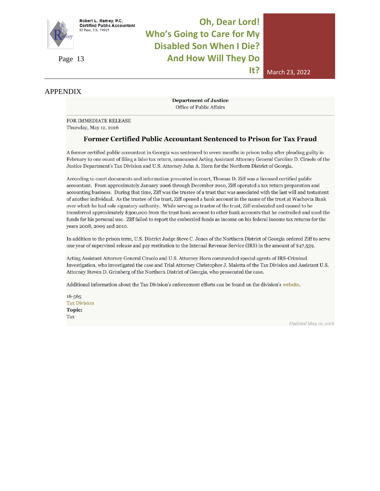

# **Oh, Dear Lord! Who's Going to Care for My Disabled Son When I Die?**  Page 13 **And How Will They Do**



APPENDIX

**Department of Justice** Office of Public Affairs

FOR IMMEDIATE RELEASE Thursday, May 12, 2016

Robert L. Ramey, P.C.<br>Certified Public Accountant

El Paso, TX 79925

#### Former Certified Public Accountant Sentenced to Prison for Tax Fraud

A former certified public accountant in Georgia was sentenced to seven months in prison today after pleading guilty in February to one count of filing a false tax return, announced Acting Assistant Attorney General Caroline D. Ciraolo of the Justice Department's Tax Division and U.S. Attorney John A. Horn for the Northern District of Georgia.

According to court documents and information presented in court. Thomas D. Ziff was a licensed certified public accountant. From approximately January 2006 through December 2010, Ziff operated a tax return preparation and accounting business. During that time, Ziff was the trustee of a trust that was associated with the last will and testament of another individual. As the trustee of the trust, Ziff opened a bank account in the name of the trust at Wachovia Bank over which he had sole signatory authority. While serving as trustee of the trust, Ziff embezzled and caused to be transferred approximately \$300,000 from the trust bank account to other bank accounts that he controlled and used the funds for his personal use. Ziff failed to report the embezzled funds as income on his federal income tax returns for the years 2008, 2009 and 2010.

In addition to the prison term, U.S. District Judge Steve C. Jones of the Northern District of Georgia ordered Ziff to serve one year of supervised release and pay restitution to the Internal Revenue Service (IRS) in the amount of \$47,539.

Acting Assistant Attorney General Ciraolo and U.S. Attorney Horn commended special agents of IRS-Criminal Investigation, who investigated the case and Trial Attorney Christopher J. Maietta of the Tax Division and Assistant U.S. Attorney Steven D. Grimberg of the Northern District of Georgia, who prosecuted the case.

Additional information about the Tax Division's enforcement efforts can be found on the division's website.

 $16 - 565$ **Tax Division** Topic: Tax

Updated May 12, 2016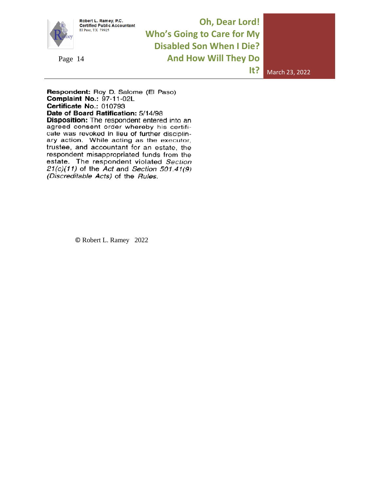

Robert L. Ramey, P.C.<br>Certified Public Accountant<br>El Paso, TX 79925

**Oh, Dear Lord! Who's Going to Care for My Disabled Son When I Die?**  Page 14 **And How Will They Do** 

**It?** March 23, 2022

Respondent: Roy D. Salome (El Paso) Complaint No.: 97-11-02L Certificate No.: 010793 Date of Board Ratification: 5/14/98 Disposition: The respondent entered into an agreed consent order whereby his certificate was revoked in lieu of further disciplinary action. While acting as the executor, trustee, and accountant for an estate, the respondent misappropriated funds from the estate. The respondent violated Section  $21(c)(11)$  of the Act and Section 501.41(9) (Discreditable Acts) of the Rules.

© Robert L. Ramey 2022